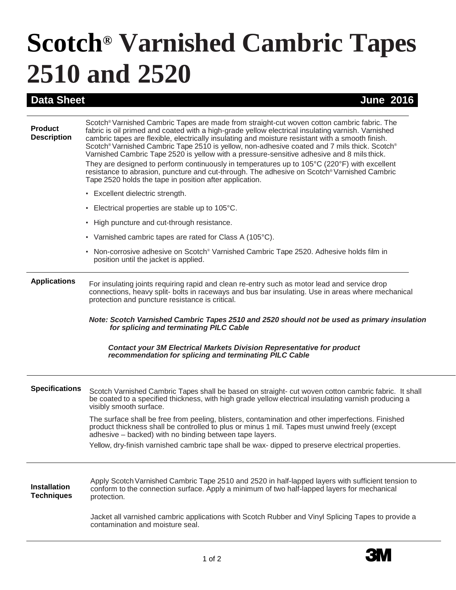## **Scotch® Varnished Cambric Tapes 2510 and 2520**

## **Data Sheet June 2016**

| <b>Product</b><br><b>Description</b>     | Scotch® Varnished Cambric Tapes are made from straight-cut woven cotton cambric fabric. The<br>fabric is oil primed and coated with a high-grade yellow electrical insulating varnish. Varnished<br>cambric tapes are flexible, electrically insulating and moisture resistant with a smooth finish.<br>Scotch® Varnished Cambric Tape 2510 is yellow, non-adhesive coated and 7 mils thick. Scotch®<br>Varnished Cambric Tape 2520 is yellow with a pressure-sensitive adhesive and 8 mils thick.<br>They are designed to perform continuously in temperatures up to $105^{\circ}$ C (220 $^{\circ}$ F) with excellent<br>resistance to abrasion, puncture and cut-through. The adhesive on Scotch® Varnished Cambric<br>Tape 2520 holds the tape in position after application. |
|------------------------------------------|-----------------------------------------------------------------------------------------------------------------------------------------------------------------------------------------------------------------------------------------------------------------------------------------------------------------------------------------------------------------------------------------------------------------------------------------------------------------------------------------------------------------------------------------------------------------------------------------------------------------------------------------------------------------------------------------------------------------------------------------------------------------------------------|
|                                          | • Excellent dielectric strength.                                                                                                                                                                                                                                                                                                                                                                                                                                                                                                                                                                                                                                                                                                                                                  |
|                                          | • Electrical properties are stable up to 105°C.                                                                                                                                                                                                                                                                                                                                                                                                                                                                                                                                                                                                                                                                                                                                   |
|                                          | • High puncture and cut-through resistance.                                                                                                                                                                                                                                                                                                                                                                                                                                                                                                                                                                                                                                                                                                                                       |
|                                          | • Varnished cambric tapes are rated for Class A (105 $^{\circ}$ C).                                                                                                                                                                                                                                                                                                                                                                                                                                                                                                                                                                                                                                                                                                               |
|                                          | • Non-corrosive adhesive on Scotch® Varnished Cambric Tape 2520. Adhesive holds film in<br>position until the jacket is applied.                                                                                                                                                                                                                                                                                                                                                                                                                                                                                                                                                                                                                                                  |
| <b>Applications</b>                      | For insulating joints requiring rapid and clean re-entry such as motor lead and service drop<br>connections, heavy split- bolts in raceways and bus bar insulating. Use in areas where mechanical<br>protection and puncture resistance is critical.                                                                                                                                                                                                                                                                                                                                                                                                                                                                                                                              |
|                                          | Note: Scotch Varnished Cambric Tapes 2510 and 2520 should not be used as primary insulation<br>for splicing and terminating PILC Cable                                                                                                                                                                                                                                                                                                                                                                                                                                                                                                                                                                                                                                            |
|                                          | <b>Contact your 3M Electrical Markets Division Representative for product</b><br>recommendation for splicing and terminating PILC Cable                                                                                                                                                                                                                                                                                                                                                                                                                                                                                                                                                                                                                                           |
| <b>Specifications</b>                    | Scotch Varnished Cambric Tapes shall be based on straight- cut woven cotton cambric fabric. It shall<br>be coated to a specified thickness, with high grade yellow electrical insulating varnish producing a<br>visibly smooth surface.                                                                                                                                                                                                                                                                                                                                                                                                                                                                                                                                           |
|                                          | The surface shall be free from peeling, blisters, contamination and other imperfections. Finished<br>product thickness shall be controlled to plus or minus 1 mil. Tapes must unwind freely (except<br>adhesive – backed) with no binding between tape layers.                                                                                                                                                                                                                                                                                                                                                                                                                                                                                                                    |
|                                          | Yellow, dry-finish varnished cambric tape shall be wax- dipped to preserve electrical properties.                                                                                                                                                                                                                                                                                                                                                                                                                                                                                                                                                                                                                                                                                 |
| <b>Installation</b><br><b>Techniques</b> | Apply Scotch Varnished Cambric Tape 2510 and 2520 in half-lapped layers with sufficient tension to<br>conform to the connection surface. Apply a minimum of two half-lapped layers for mechanical                                                                                                                                                                                                                                                                                                                                                                                                                                                                                                                                                                                 |
|                                          | protection.                                                                                                                                                                                                                                                                                                                                                                                                                                                                                                                                                                                                                                                                                                                                                                       |